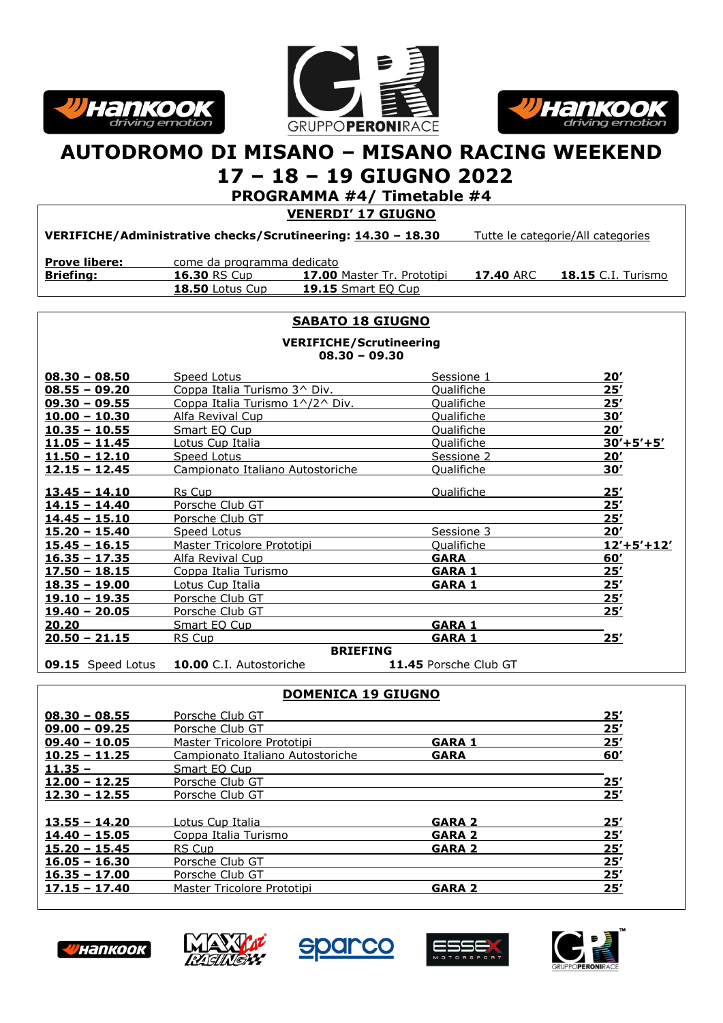





## **AUTODROMO DI MISANO – MISANO RACING WEEKEND**

## **17 – 18 – 19 GIUGNO 2022**

**PROGRAMMA #4/ Timetable #4**

**VENERDI' 17 GIUGNO**

**VERIFICHE/Administrative checks/Scrutineering: 14.30 – 18.30** Tutte le categorie/All categories

| <b>Prove libere:</b> | come da programma dedicato |                                   |           |                           |
|----------------------|----------------------------|-----------------------------------|-----------|---------------------------|
| Briefing:            | <b>16.30 RS Cup</b>        | <b>17.00 Master Tr. Prototipi</b> | 17.40 ARC | <b>18.15</b> C.I. Turismo |
|                      | <b>18.50 Lotus Cup</b>     | <b>19.15</b> Smart EO Cup         |           |                           |

#### **SABATO 18 GIUGNO**

**VERIFICHE/Scrutineering 08.30 – 09.30**

| $08.30 - 08.50$          | Speed Lotus                            | Sessione 1            | 20'          |  |  |
|--------------------------|----------------------------------------|-----------------------|--------------|--|--|
| $08.55 - 09.20$          | Coppa Italia Turismo 3^ Div.           | Qualifiche            | 25'          |  |  |
| $09.30 - 09.55$          | <u>Coppa Italia Turismo 1^/2^ Div.</u> | Qualifiche            | 25'          |  |  |
| $10.00 - 10.30$          | Alfa Revival Cup                       | Qualifiche            | 30'          |  |  |
| $10.35 - 10.55$          | Smart EQ Cup                           | Qualifiche            | 20'          |  |  |
| $11.05 - 11.45$          | Lotus Cup Italia                       | Qualifiche            | $30'+5'+5'$  |  |  |
| $11.50 - 12.10$          | Speed Lotus                            | Sessione 2            | <u> 20′</u>  |  |  |
| $12.15 - 12.45$          | Campionato Italiano Autostoriche       | Qualifiche            | 30'          |  |  |
| <u> 13.45 - 14.10</u>    | Rs Cup                                 | Qualifiche            | 25'          |  |  |
| $14.15 - 14.40$          | Porsche Club GT                        |                       | 25'          |  |  |
| $14.45 - 15.10$          | Porsche Club GT                        |                       | 25'          |  |  |
| $15.20 - 15.40$          | Speed Lotus                            | Sessione 3            | 20'          |  |  |
| $15.45 - 16.15$          | Master Tricolore Prototipi             | Qualifiche            | $12'+5'+12'$ |  |  |
| <u> 16.35 - 17.35</u>    | Alfa Revival Cup                       | <b>GARA</b>           | 60'          |  |  |
| $17.50 - 18.15$          | Coppa Italia Turismo                   | <b>GARA 1</b>         | 25'          |  |  |
| $18.35 - 19.00$          | Lotus Cup Italia                       | <b>GARA 1</b>         | 25'          |  |  |
| $19.10 - 19.35$          | Porsche Club GT                        |                       | 25'          |  |  |
| $19.40 - 20.05$          | Porsche Club GT                        |                       | 25'          |  |  |
| 20.20                    | Smart EQ Cup                           | <b>GARA 1</b>         |              |  |  |
| $20.50 - 21.15$          | <b>RS Cup</b>                          | <b>GARA 1</b>         | 25'          |  |  |
| <b>BRIEFING</b>          |                                        |                       |              |  |  |
| <b>09.15</b> Speed Lotus | 10.00 C.I. Autostoriche                | 11.45 Porsche Club GT |              |  |  |

|                 | <b>DUMENICA 19 GIUGNU</b>        |               |     |
|-----------------|----------------------------------|---------------|-----|
| $08.30 - 08.55$ | Porsche Club GT                  |               | 25' |
| $09.00 - 09.25$ | Porsche Club GT                  |               | 25' |
| $09.40 - 10.05$ | Master Tricolore Prototipi       | <b>GARA 1</b> | 25' |
| $10.25 - 11.25$ | Campionato Italiano Autostoriche | <b>GARA</b>   | 60' |
| $11.35 -$       | Smart EQ Cup                     |               |     |
| $12.00 - 12.25$ | Porsche Club GT                  |               | 25' |
| $12.30 - 12.55$ | Porsche Club GT                  |               | 25' |
|                 |                                  |               |     |
| $13.55 - 14.20$ | Lotus Cup Italia                 | <b>GARA 2</b> | 25' |
| $14.40 - 15.05$ | Coppa Italia Turismo             | <b>GARA 2</b> | 25' |
| $15.20 - 15.45$ | RS Cup                           | <b>GARA 2</b> | 25' |
| $16.05 - 16.30$ | Porsche Club GT                  |               | 25' |
| $16.35 - 17.00$ | Porsche Club GT                  |               | 25' |
| $17.15 - 17.40$ | Master Tricolore Prototipi       | <b>GARA 2</b> | 25' |

**DOMENICA 19 GIUGNO**